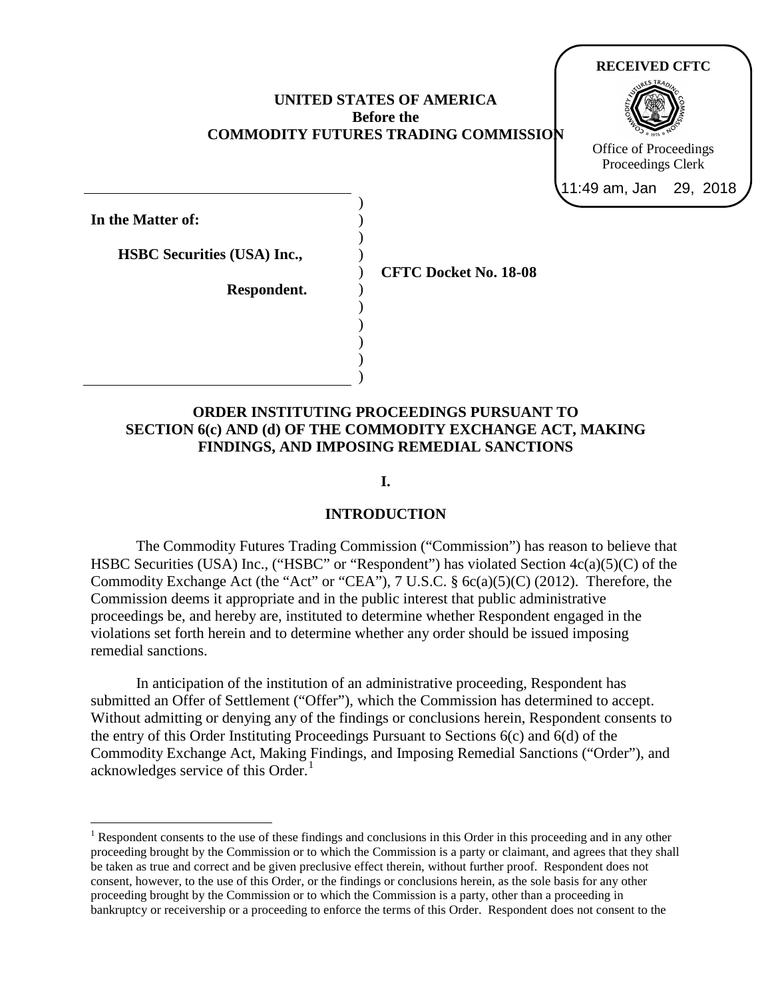## **UNITED STATES OF AMERICA Before the COMMODITY FUTURES TRADING COMMISSION**

) ) ) ) ) ) ) ) ) ) )

**In the Matter of:**

**HSBC Securities (USA) Inc.,**

**Respondent.**

**CFTC Docket No. 18-08**

**RECEIVED CFTC**

Office of Proceedings Proceedings Clerk 11:49 am, Jan 29, 2018

# **ORDER INSTITUTING PROCEEDINGS PURSUANT TO SECTION 6(c) AND (d) OF THE COMMODITY EXCHANGE ACT, MAKING FINDINGS, AND IMPOSING REMEDIAL SANCTIONS**

**I.**

## **INTRODUCTION**

The Commodity Futures Trading Commission ("Commission") has reason to believe that HSBC Securities (USA) Inc., ("HSBC" or "Respondent") has violated Section 4c(a)(5)(C) of the Commodity Exchange Act (the "Act" or "CEA"), 7 U.S.C. § 6c(a)(5)(C) (2012). Therefore, the Commission deems it appropriate and in the public interest that public administrative proceedings be, and hereby are, instituted to determine whether Respondent engaged in the violations set forth herein and to determine whether any order should be issued imposing remedial sanctions.

In anticipation of the institution of an administrative proceeding, Respondent has submitted an Offer of Settlement ("Offer"), which the Commission has determined to accept. Without admitting or denying any of the findings or conclusions herein, Respondent consents to the entry of this Order Instituting Proceedings Pursuant to Sections 6(c) and 6(d) of the Commodity Exchange Act, Making Findings, and Imposing Remedial Sanctions ("Order"), and acknowledges service of this Order.<sup>[1](#page-0-0)</sup>

<span id="page-0-0"></span><sup>&</sup>lt;sup>1</sup> Respondent consents to the use of these findings and conclusions in this Order in this proceeding and in any other proceeding brought by the Commission or to which the Commission is a party or claimant, and agrees that they shall be taken as true and correct and be given preclusive effect therein, without further proof. Respondent does not consent, however, to the use of this Order, or the findings or conclusions herein, as the sole basis for any other proceeding brought by the Commission or to which the Commission is a party, other than a proceeding in bankruptcy or receivership or a proceeding to enforce the terms of this Order. Respondent does not consent to the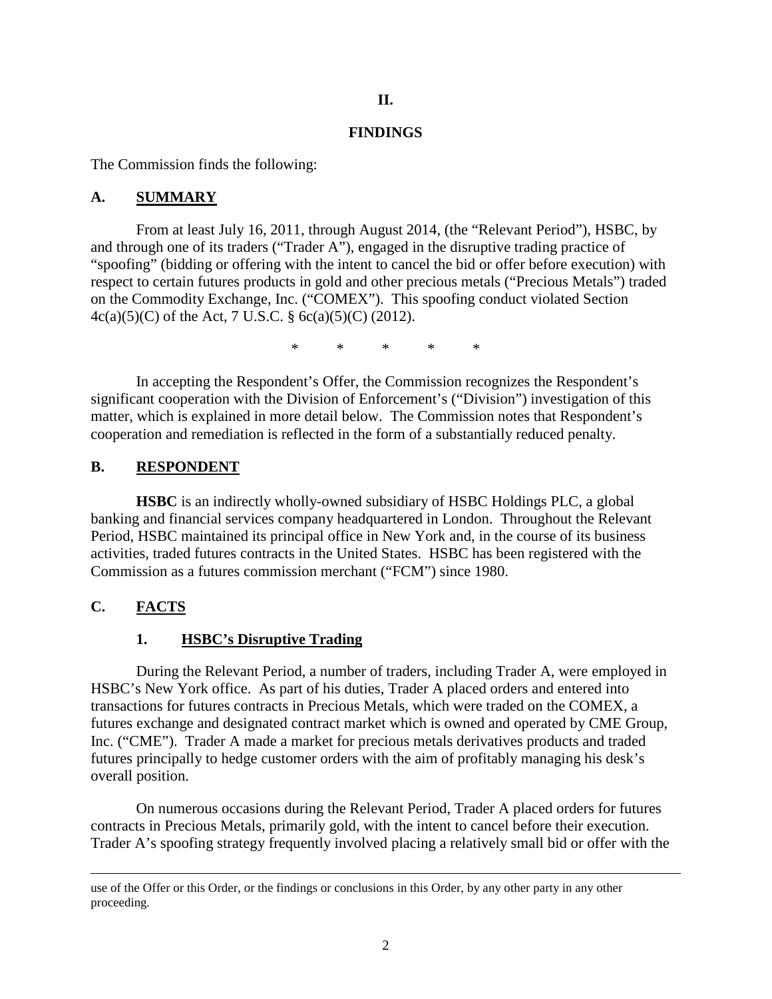## **II.**

### **FINDINGS**

The Commission finds the following:

### **A. SUMMARY**

From at least July 16, 2011, through August 2014, (the "Relevant Period"), HSBC, by and through one of its traders ("Trader A"), engaged in the disruptive trading practice of "spoofing" (bidding or offering with the intent to cancel the bid or offer before execution) with respect to certain futures products in gold and other precious metals ("Precious Metals") traded on the Commodity Exchange, Inc. ("COMEX"). This spoofing conduct violated Section 4c(a)(5)(C) of the Act, 7 U.S.C. § 6c(a)(5)(C) (2012).

\* \* \* \* \*

In accepting the Respondent's Offer, the Commission recognizes the Respondent's significant cooperation with the Division of Enforcement's ("Division") investigation of this matter, which is explained in more detail below. The Commission notes that Respondent's cooperation and remediation is reflected in the form of a substantially reduced penalty.

### **B. RESPONDENT**

**HSBC** is an indirectly wholly-owned subsidiary of HSBC Holdings PLC, a global banking and financial services company headquartered in London. Throughout the Relevant Period, HSBC maintained its principal office in New York and, in the course of its business activities, traded futures contracts in the United States. HSBC has been registered with the Commission as a futures commission merchant ("FCM") since 1980.

# **C. FACTS**

 $\overline{a}$ 

## **1. HSBC's Disruptive Trading**

During the Relevant Period, a number of traders, including Trader A, were employed in HSBC's New York office. As part of his duties, Trader A placed orders and entered into transactions for futures contracts in Precious Metals, which were traded on the COMEX, a futures exchange and designated contract market which is owned and operated by CME Group, Inc. ("CME"). Trader A made a market for precious metals derivatives products and traded futures principally to hedge customer orders with the aim of profitably managing his desk's overall position.

On numerous occasions during the Relevant Period, Trader A placed orders for futures contracts in Precious Metals, primarily gold, with the intent to cancel before their execution. Trader A's spoofing strategy frequently involved placing a relatively small bid or offer with the

use of the Offer or this Order, or the findings or conclusions in this Order, by any other party in any other proceeding.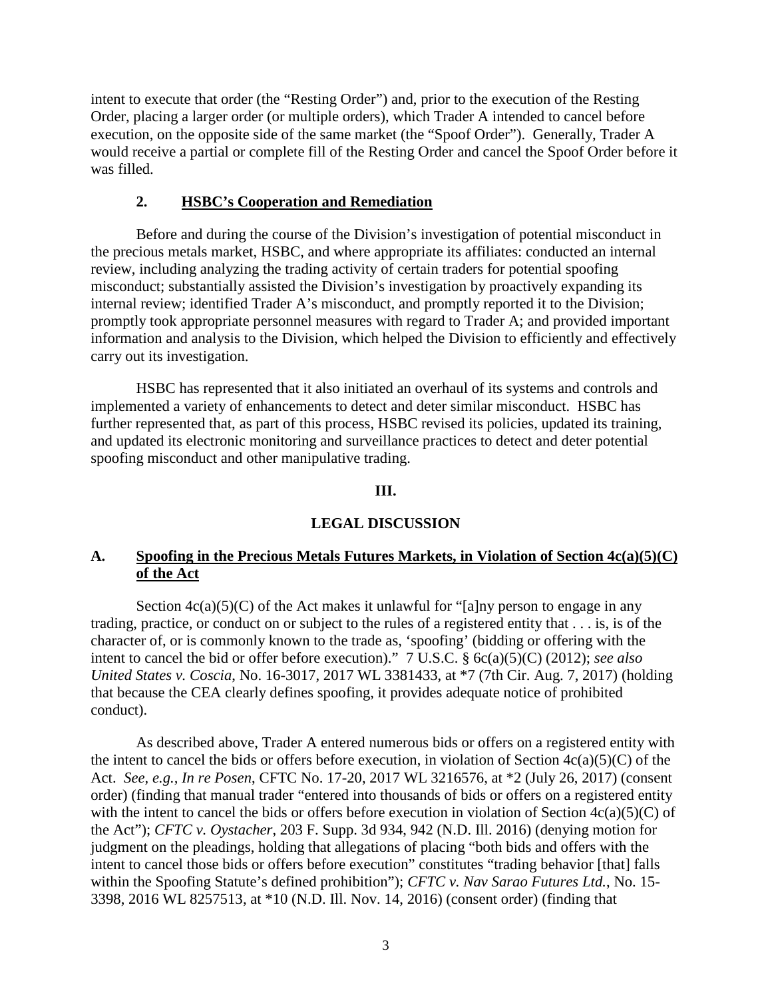intent to execute that order (the "Resting Order") and, prior to the execution of the Resting Order, placing a larger order (or multiple orders), which Trader A intended to cancel before execution, on the opposite side of the same market (the "Spoof Order"). Generally, Trader A would receive a partial or complete fill of the Resting Order and cancel the Spoof Order before it was filled.

# **2. HSBC's Cooperation and Remediation**

Before and during the course of the Division's investigation of potential misconduct in the precious metals market, HSBC, and where appropriate its affiliates: conducted an internal review, including analyzing the trading activity of certain traders for potential spoofing misconduct; substantially assisted the Division's investigation by proactively expanding its internal review; identified Trader A's misconduct, and promptly reported it to the Division; promptly took appropriate personnel measures with regard to Trader A; and provided important information and analysis to the Division, which helped the Division to efficiently and effectively carry out its investigation.

HSBC has represented that it also initiated an overhaul of its systems and controls and implemented a variety of enhancements to detect and deter similar misconduct. HSBC has further represented that, as part of this process, HSBC revised its policies, updated its training, and updated its electronic monitoring and surveillance practices to detect and deter potential spoofing misconduct and other manipulative trading.

## **III.**

# **LEGAL DISCUSSION**

# **A. Spoofing in the Precious Metals Futures Markets, in Violation of Section 4c(a)(5)(C) of the Act**

Section  $4c(a)(5)(C)$  of the Act makes it unlawful for "[a]ny person to engage in any trading, practice, or conduct on or subject to the rules of a registered entity that . . . is, is of the character of, or is commonly known to the trade as, 'spoofing' (bidding or offering with the intent to cancel the bid or offer before execution)." 7 U.S.C. § 6c(a)(5)(C) (2012); *see also United States v. Coscia*, No. 16-3017, 2017 WL 3381433, at \*7 (7th Cir. Aug. 7, 2017) (holding that because the CEA clearly defines spoofing, it provides adequate notice of prohibited conduct).

As described above, Trader A entered numerous bids or offers on a registered entity with the intent to cancel the bids or offers before execution, in violation of Section  $4c(a)(5)(C)$  of the Act. *See, e.g., In re Posen*, CFTC No. 17-20, 2017 WL 3216576, at \*2 (July 26, 2017) (consent order) (finding that manual trader "entered into thousands of bids or offers on a registered entity with the intent to cancel the bids or offers before execution in violation of Section  $4c(a)(5)(C)$  of the Act"); *CFTC v. Oystacher*, 203 F. Supp. 3d 934, 942 (N.D. Ill. 2016) (denying motion for judgment on the pleadings, holding that allegations of placing "both bids and offers with the intent to cancel those bids or offers before execution" constitutes "trading behavior [that] falls within the Spoofing Statute's defined prohibition"); *CFTC v. Nav Sarao Futures Ltd.*, No. 15- 3398, 2016 WL 8257513, at \*10 (N.D. Ill. Nov. 14, 2016) (consent order) (finding that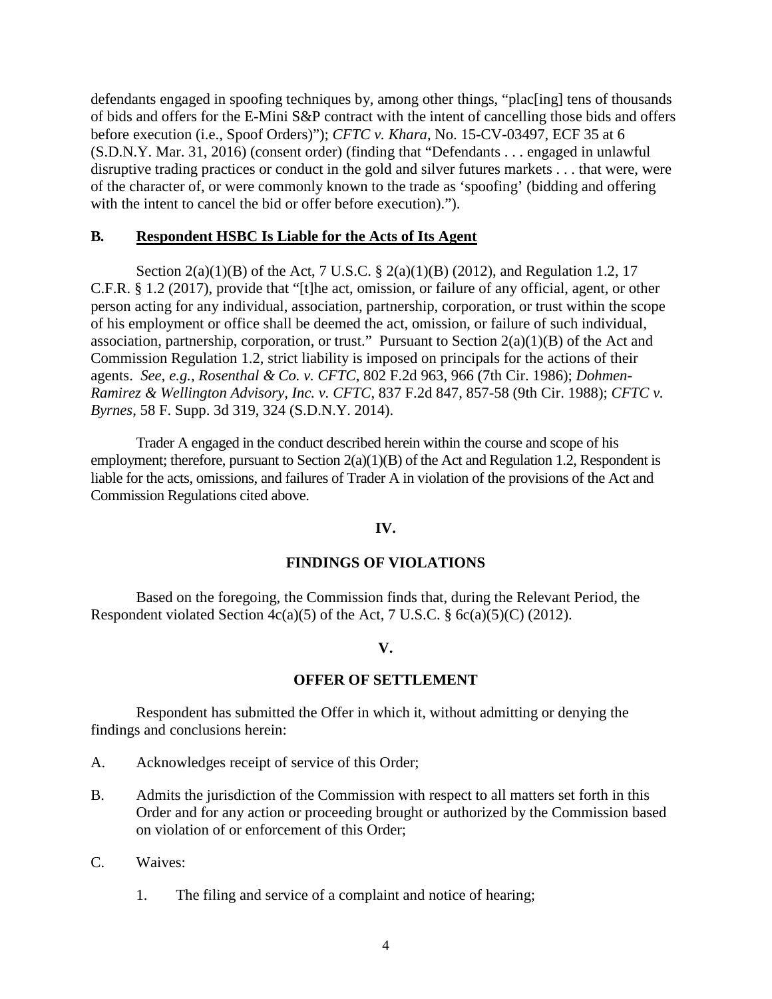defendants engaged in spoofing techniques by, among other things, "plac[ing] tens of thousands of bids and offers for the E-Mini S&P contract with the intent of cancelling those bids and offers before execution (i.e., Spoof Orders)"); *CFTC v. Khara*, No. 15-CV-03497, ECF 35 at 6 (S.D.N.Y. Mar. 31, 2016) (consent order) (finding that "Defendants . . . engaged in unlawful disruptive trading practices or conduct in the gold and silver futures markets . . . that were, were of the character of, or were commonly known to the trade as 'spoofing' (bidding and offering with the intent to cancel the bid or offer before execution).").

## **B. Respondent HSBC Is Liable for the Acts of Its Agent**

Section 2(a)(1)(B) of the Act, 7 U.S.C. § 2(a)(1)(B) (2012), and Regulation 1.2, 17 C.F.R. § 1.2 (2017), provide that "[t]he act, omission, or failure of any official, agent, or other person acting for any individual, association, partnership, corporation, or trust within the scope of his employment or office shall be deemed the act, omission, or failure of such individual, association, partnership, corporation, or trust." Pursuant to Section  $2(a)(1)(B)$  of the Act and Commission Regulation 1.2, strict liability is imposed on principals for the actions of their agents. *See, e.g.*, *Rosenthal & Co. v. CFTC*, 802 F.2d 963, 966 (7th Cir. 1986); *Dohmen-Ramirez & Wellington Advisory, Inc. v. CFTC*, 837 F.2d 847, 857-58 (9th Cir. 1988); *CFTC v. Byrnes*, 58 F. Supp. 3d 319, 324 (S.D.N.Y. 2014).

Trader A engaged in the conduct described herein within the course and scope of his employment; therefore, pursuant to Section 2(a)(1)(B) of the Act and Regulation 1.2, Respondent is liable for the acts, omissions, and failures of Trader A in violation of the provisions of the Act and Commission Regulations cited above.

## **IV.**

# **FINDINGS OF VIOLATIONS**

Based on the foregoing, the Commission finds that, during the Relevant Period, the Respondent violated Section  $4c(a)(5)$  of the Act, 7 U.S.C. §  $6c(a)(5)(C)$  (2012).

# **V.**

## **OFFER OF SETTLEMENT**

Respondent has submitted the Offer in which it, without admitting or denying the findings and conclusions herein:

- A. Acknowledges receipt of service of this Order;
- B. Admits the jurisdiction of the Commission with respect to all matters set forth in this Order and for any action or proceeding brought or authorized by the Commission based on violation of or enforcement of this Order;
- C. Waives:
	- 1. The filing and service of a complaint and notice of hearing;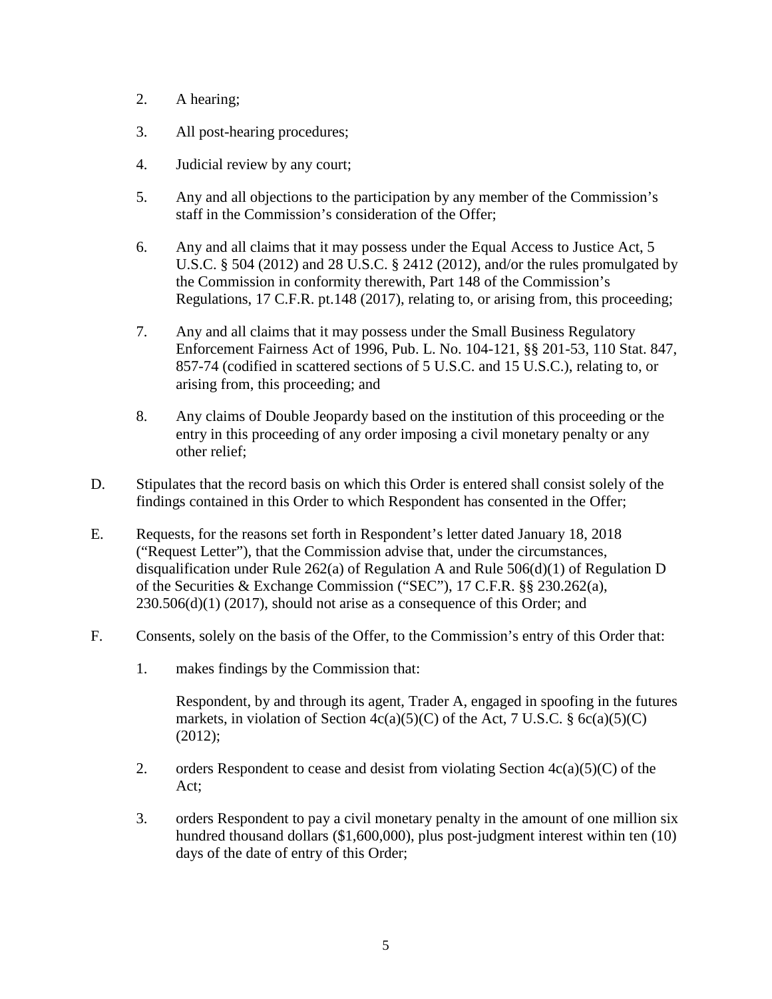- 2. A hearing;
- 3. All post-hearing procedures;
- 4. Judicial review by any court;
- 5. Any and all objections to the participation by any member of the Commission's staff in the Commission's consideration of the Offer;
- 6. Any and all claims that it may possess under the Equal Access to Justice Act, 5 U.S.C. § 504 (2012) and 28 U.S.C. § 2412 (2012), and/or the rules promulgated by the Commission in conformity therewith, Part 148 of the Commission's Regulations, 17 C.F.R. pt.148 (2017), relating to, or arising from, this proceeding;
- 7. Any and all claims that it may possess under the Small Business Regulatory Enforcement Fairness Act of 1996, Pub. L. No. 104-121, §§ 201-53, 110 Stat. 847, 857-74 (codified in scattered sections of 5 U.S.C. and 15 U.S.C.), relating to, or arising from, this proceeding; and
- 8. Any claims of Double Jeopardy based on the institution of this proceeding or the entry in this proceeding of any order imposing a civil monetary penalty or any other relief;
- D. Stipulates that the record basis on which this Order is entered shall consist solely of the findings contained in this Order to which Respondent has consented in the Offer;
- E. Requests, for the reasons set forth in Respondent's letter dated January 18, 2018 ("Request Letter"), that the Commission advise that, under the circumstances, disqualification under Rule 262(a) of Regulation A and Rule 506(d)(1) of Regulation D of the Securities & Exchange Commission ("SEC"), 17 C.F.R. §§ 230.262(a),  $230.506(d)(1)$  (2017), should not arise as a consequence of this Order; and
- F. Consents, solely on the basis of the Offer, to the Commission's entry of this Order that:
	- 1. makes findings by the Commission that:

Respondent, by and through its agent, Trader A, engaged in spoofing in the futures markets, in violation of Section  $4c(a)(5)(C)$  of the Act, 7 U.S.C. § 6c(a)(5)(C) (2012);

- 2. orders Respondent to cease and desist from violating Section  $4c(a)(5)(C)$  of the Act;
- 3. orders Respondent to pay a civil monetary penalty in the amount of one million six hundred thousand dollars (\$1,600,000), plus post-judgment interest within ten (10) days of the date of entry of this Order;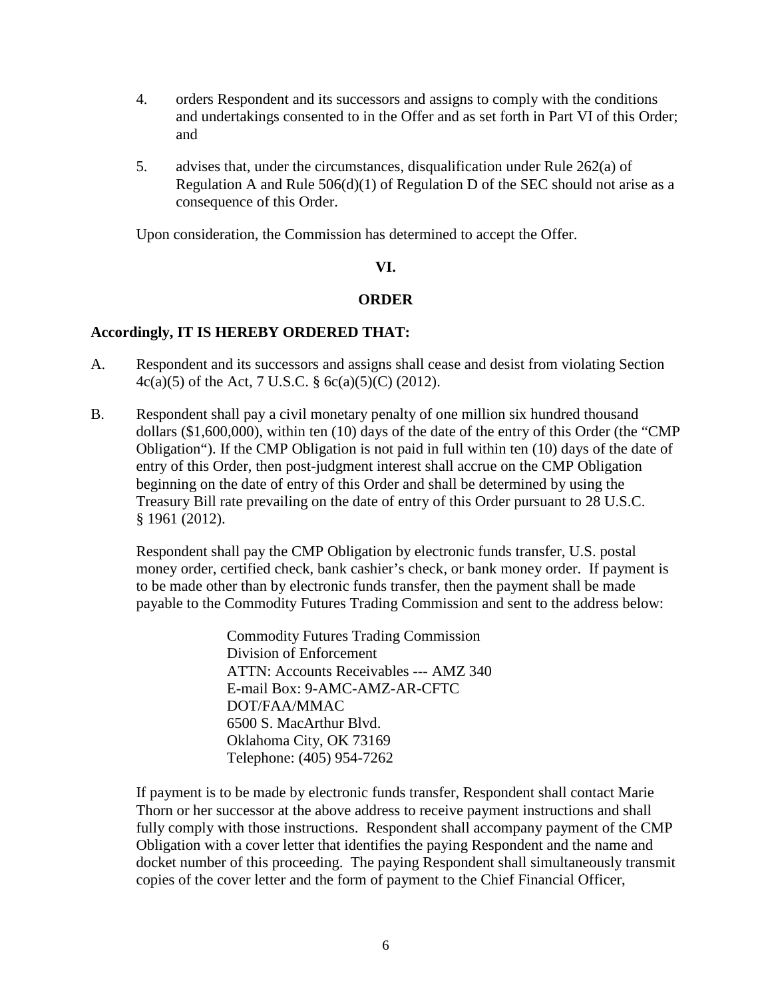- 4. orders Respondent and its successors and assigns to comply with the conditions and undertakings consented to in the Offer and as set forth in Part VI of this Order; and
- 5. advises that, under the circumstances, disqualification under Rule 262(a) of Regulation A and Rule  $506(d)(1)$  of Regulation D of the SEC should not arise as a consequence of this Order.

Upon consideration, the Commission has determined to accept the Offer.

### **VI.**

### **ORDER**

### **Accordingly, IT IS HEREBY ORDERED THAT:**

- A. Respondent and its successors and assigns shall cease and desist from violating Section 4c(a)(5) of the Act, 7 U.S.C.  $\S$  6c(a)(5)(C) (2012).
- B. Respondent shall pay a civil monetary penalty of one million six hundred thousand dollars (\$1,600,000), within ten (10) days of the date of the entry of this Order (the "CMP Obligation"). If the CMP Obligation is not paid in full within ten (10) days of the date of entry of this Order, then post-judgment interest shall accrue on the CMP Obligation beginning on the date of entry of this Order and shall be determined by using the Treasury Bill rate prevailing on the date of entry of this Order pursuant to 28 U.S.C. § 1961 (2012).

Respondent shall pay the CMP Obligation by electronic funds transfer, U.S. postal money order, certified check, bank cashier's check, or bank money order. If payment is to be made other than by electronic funds transfer, then the payment shall be made payable to the Commodity Futures Trading Commission and sent to the address below:

> Commodity Futures Trading Commission Division of Enforcement ATTN: Accounts Receivables --- AMZ 340 E-mail Box: 9-AMC-AMZ-AR-CFTC DOT/FAA/MMAC 6500 S. MacArthur Blvd. Oklahoma City, OK 73169 Telephone: (405) 954-7262

If payment is to be made by electronic funds transfer, Respondent shall contact Marie Thorn or her successor at the above address to receive payment instructions and shall fully comply with those instructions. Respondent shall accompany payment of the CMP Obligation with a cover letter that identifies the paying Respondent and the name and docket number of this proceeding. The paying Respondent shall simultaneously transmit copies of the cover letter and the form of payment to the Chief Financial Officer,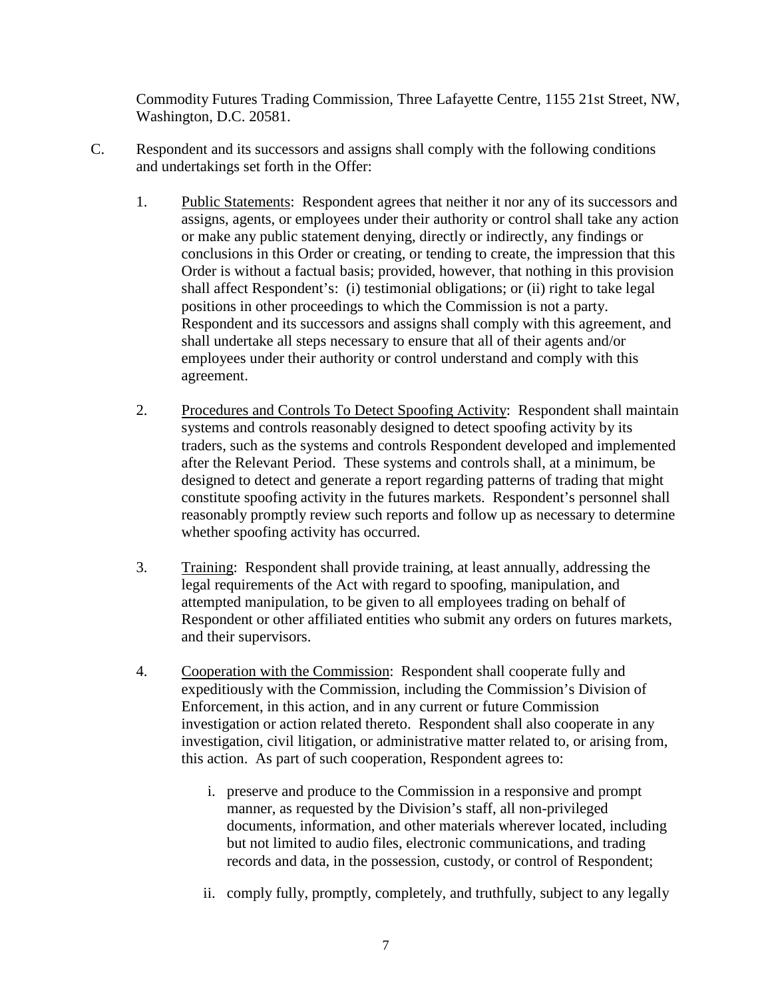Commodity Futures Trading Commission, Three Lafayette Centre, 1155 21st Street, NW, Washington, D.C. 20581.

- C. Respondent and its successors and assigns shall comply with the following conditions and undertakings set forth in the Offer:
	- 1. Public Statements: Respondent agrees that neither it nor any of its successors and assigns, agents, or employees under their authority or control shall take any action or make any public statement denying, directly or indirectly, any findings or conclusions in this Order or creating, or tending to create, the impression that this Order is without a factual basis; provided, however, that nothing in this provision shall affect Respondent's: (i) testimonial obligations; or (ii) right to take legal positions in other proceedings to which the Commission is not a party. Respondent and its successors and assigns shall comply with this agreement, and shall undertake all steps necessary to ensure that all of their agents and/or employees under their authority or control understand and comply with this agreement.
	- 2. Procedures and Controls To Detect Spoofing Activity: Respondent shall maintain systems and controls reasonably designed to detect spoofing activity by its traders, such as the systems and controls Respondent developed and implemented after the Relevant Period. These systems and controls shall, at a minimum, be designed to detect and generate a report regarding patterns of trading that might constitute spoofing activity in the futures markets. Respondent's personnel shall reasonably promptly review such reports and follow up as necessary to determine whether spoofing activity has occurred.
	- 3. Training: Respondent shall provide training, at least annually, addressing the legal requirements of the Act with regard to spoofing, manipulation, and attempted manipulation, to be given to all employees trading on behalf of Respondent or other affiliated entities who submit any orders on futures markets, and their supervisors.
	- 4. Cooperation with the Commission: Respondent shall cooperate fully and expeditiously with the Commission, including the Commission's Division of Enforcement, in this action, and in any current or future Commission investigation or action related thereto. Respondent shall also cooperate in any investigation, civil litigation, or administrative matter related to, or arising from, this action. As part of such cooperation, Respondent agrees to:
		- i. preserve and produce to the Commission in a responsive and prompt manner, as requested by the Division's staff, all non-privileged documents, information, and other materials wherever located, including but not limited to audio files, electronic communications, and trading records and data, in the possession, custody, or control of Respondent;
		- ii. comply fully, promptly, completely, and truthfully, subject to any legally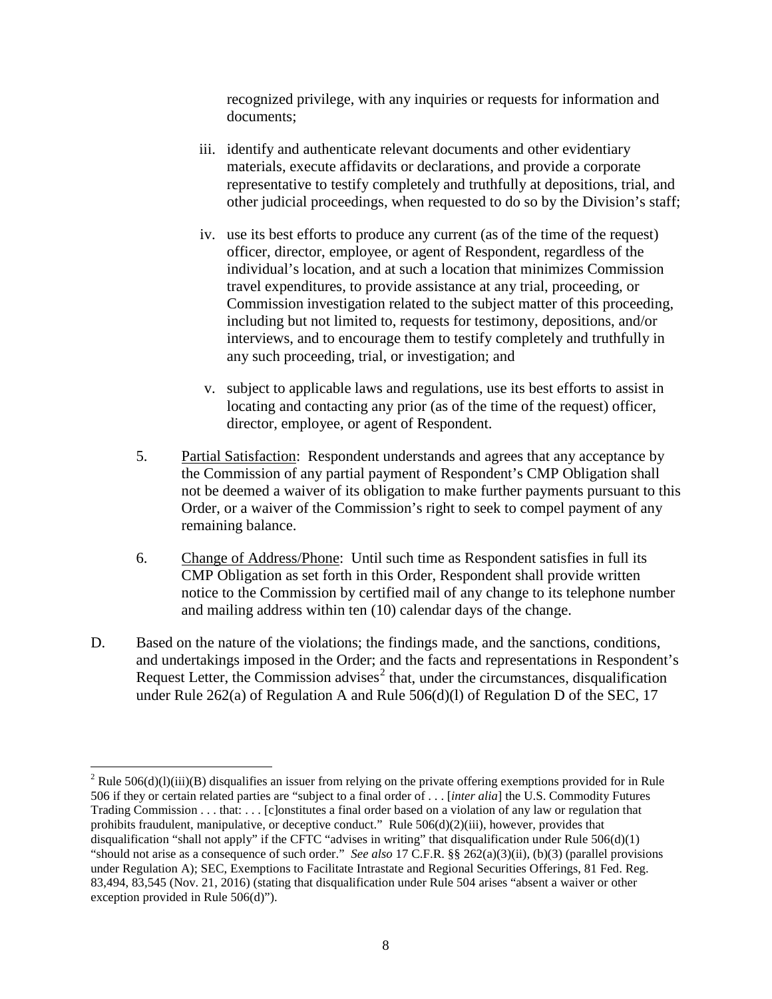recognized privilege, with any inquiries or requests for information and documents;

- iii. identify and authenticate relevant documents and other evidentiary materials, execute affidavits or declarations, and provide a corporate representative to testify completely and truthfully at depositions, trial, and other judicial proceedings, when requested to do so by the Division's staff;
- iv. use its best efforts to produce any current (as of the time of the request) officer, director, employee, or agent of Respondent, regardless of the individual's location, and at such a location that minimizes Commission travel expenditures, to provide assistance at any trial, proceeding, or Commission investigation related to the subject matter of this proceeding, including but not limited to, requests for testimony, depositions, and/or interviews, and to encourage them to testify completely and truthfully in any such proceeding, trial, or investigation; and
- v. subject to applicable laws and regulations, use its best efforts to assist in locating and contacting any prior (as of the time of the request) officer, director, employee, or agent of Respondent.
- 5. Partial Satisfaction: Respondent understands and agrees that any acceptance by the Commission of any partial payment of Respondent's CMP Obligation shall not be deemed a waiver of its obligation to make further payments pursuant to this Order, or a waiver of the Commission's right to seek to compel payment of any remaining balance.
- 6. Change of Address/Phone: Until such time as Respondent satisfies in full its CMP Obligation as set forth in this Order, Respondent shall provide written notice to the Commission by certified mail of any change to its telephone number and mailing address within ten (10) calendar days of the change.
- D. Based on the nature of the violations; the findings made, and the sanctions, conditions, and undertakings imposed in the Order; and the facts and representations in Respondent's Request Letter, the Commission advises<sup>[2](#page-7-0)</sup> that, under the circumstances, disqualification under Rule 262(a) of Regulation A and Rule 506(d)(l) of Regulation D of the SEC, 17

<span id="page-7-0"></span><sup>&</sup>lt;sup>2</sup> Rule 506(d)(l)(iii)(B) disqualifies an issuer from relying on the private offering exemptions provided for in Rule 506 if they or certain related parties are "subject to a final order of . . . [*inter alia*] the U.S. Commodity Futures Trading Commission . . . that: . . . [c]onstitutes a final order based on a violation of any law or regulation that prohibits fraudulent, manipulative, or deceptive conduct." Rule  $506(d)(2)(iii)$ , however, provides that disqualification "shall not apply" if the CFTC "advises in writing" that disqualification under Rule 506(d)(1) "should not arise as a consequence of such order." *See also* 17 C.F.R. §§ 262(a)(3)(ii), (b)(3) (parallel provisions under Regulation A); SEC, Exemptions to Facilitate Intrastate and Regional Securities Offerings, 81 Fed. Reg. 83,494, 83,545 (Nov. 21, 2016) (stating that disqualification under Rule 504 arises "absent a waiver or other exception provided in Rule 506(d)").